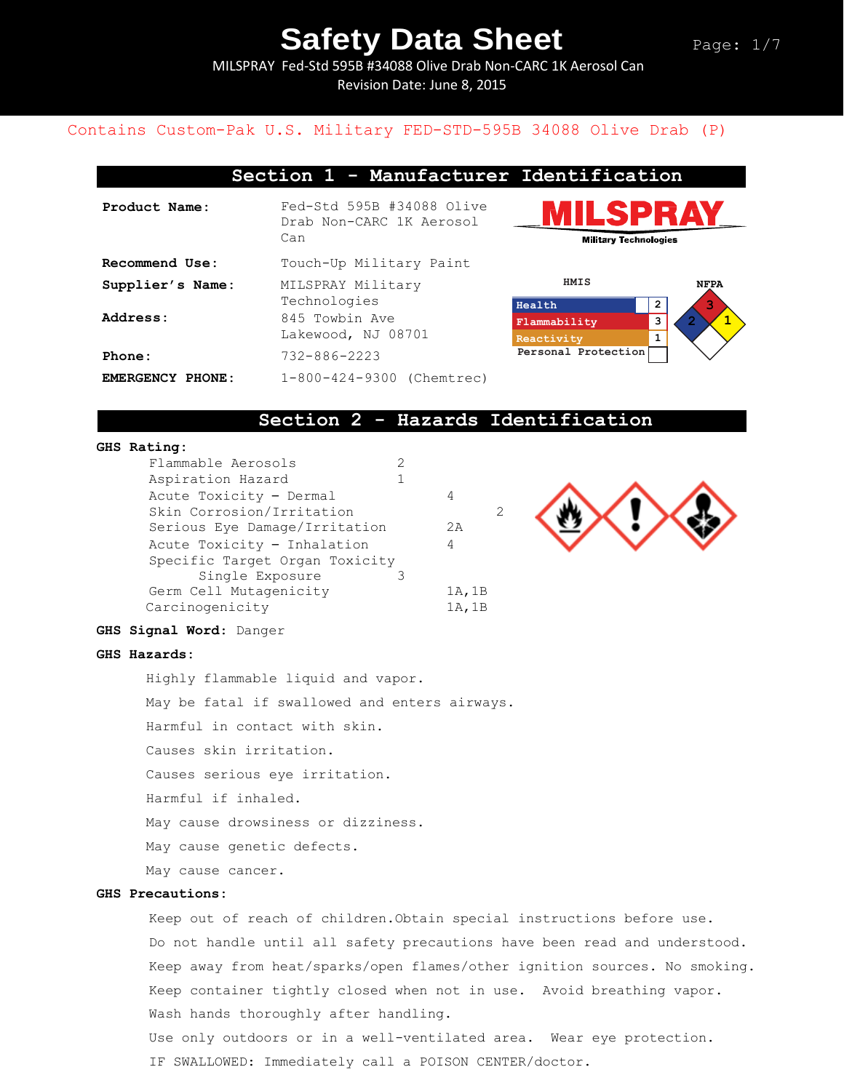MILSPRAY Fed-Std 595B #34088 Olive Drab Non-CARC 1K Aerosol Can Revision Date: June 8, 2015

## Contains Custom-Pak U.S. Military FED-STD-595B 34088 Olive Drab (P)

## **Section 1 - Manufacturer Identification**

| Product Name:    | Fed-Std 595B #34088 Olive<br>Drab Non-CARC 1K Aerosol<br>Can |  |  |
|------------------|--------------------------------------------------------------|--|--|
| Recommend Use:   | Touch-Up Military Paint                                      |  |  |
| Supplier's Name: | MILSPRAY Military<br>Technologies                            |  |  |
| Address:         | 845 Towbin Ave<br>Lakewood, NJ 08701                         |  |  |
| Phone:           | $732 - 886 - 2223$                                           |  |  |
| EMERGENCY PHONE: | 1-800-424-9300 (Chemtrec)                                    |  |  |





## **Section 2 - Hazards Identification**

## **GHS Rating:**

| Flammable Aerosols             |        |
|--------------------------------|--------|
| Aspiration Hazard              |        |
| Acute Toxicity - Dermal        | 4      |
| Skin Corrosion/Irritation      | 2      |
| Serious Eye Damage/Irritation  | 2A     |
| Acute Toxicity - Inhalation    | 4      |
| Specific Target Organ Toxicity |        |
| Single Exposure                |        |
| Germ Cell Mutagenicity         | 1A, 1B |
| Carcinogenicity                | 1A, 1B |



### **GHS Signal Word**: Danger

#### **GHS Hazards:**

Highly flammable liquid and vapor.

May be fatal if swallowed and enters airways.

Harmful in contact with skin.

Causes skin irritation.

Causes serious eye irritation.

Harmful if inhaled.

May cause drowsiness or dizziness.

May cause genetic defects.

May cause cancer.

### **GHS Precautions:**

Keep out of reach of children.Obtain special instructions before use. Do not handle until all safety precautions have been read and understood. Keep away from heat/sparks/open flames/other ignition sources. No smoking. Keep container tightly closed when not in use. Avoid breathing vapor. Wash hands thoroughly after handling. Use only outdoors or in a well-ventilated area. Wear eye protection. IF SWALLOWED: Immediately call a POISON CENTER/doctor.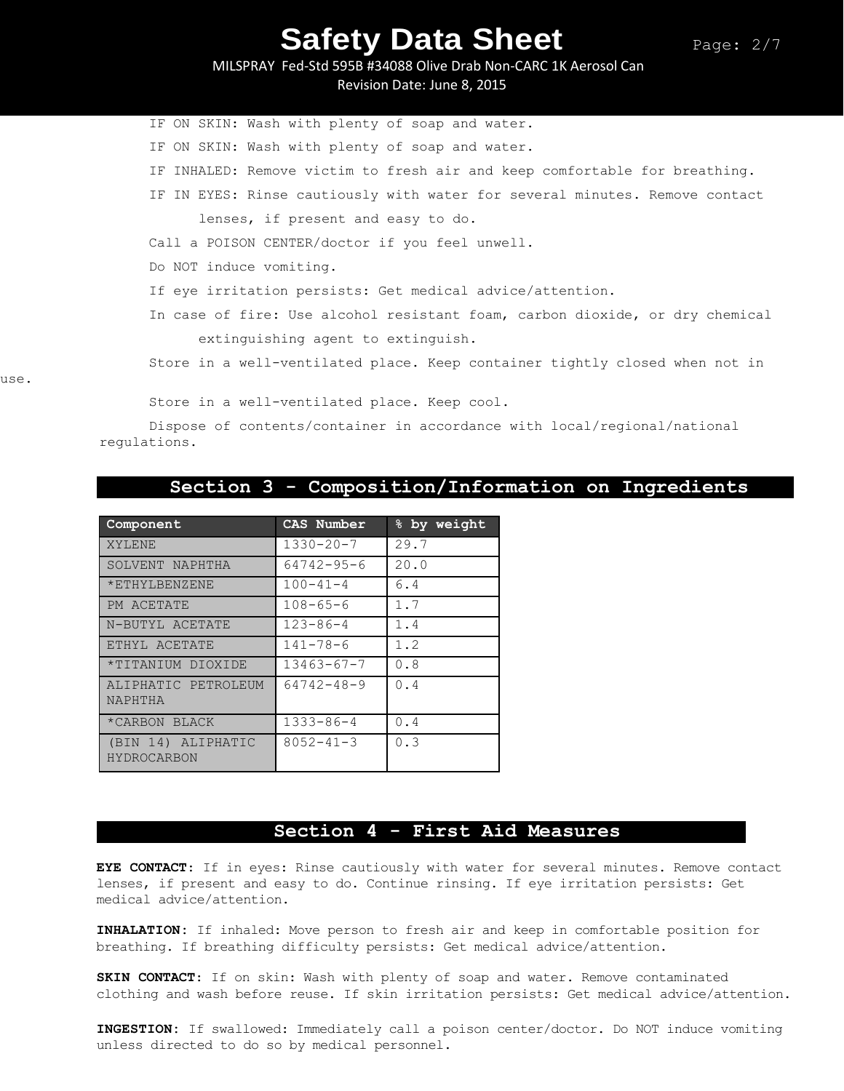MILSPRAY Fed-Std 595B #34088 Olive Drab Non-CARC 1K Aerosol Can Revision Date: June 8, 2015

IF ON SKIN: Wash with plenty of soap and water. IF ON SKIN: Wash with plenty of soap and water. IF INHALED: Remove victim to fresh air and keep comfortable for breathing. IF IN EYES: Rinse cautiously with water for several minutes. Remove contact lenses, if present and easy to do. Call a POISON CENTER/doctor if you feel unwell. Do NOT induce vomiting. If eye irritation persists: Get medical advice/attention. In case of fire: Use alcohol resistant foam, carbon dioxide, or dry chemical extinguishing agent to extinguish. Store in a well-ventilated place. Keep container tightly closed when not in

use.

Store in a well-ventilated place. Keep cool.

Dispose of contents/container in accordance with local/regional/national regulations.

# **Section 3 - Composition/Information on Ingredients**

| Component                         | CAS Number       | % by weight |
|-----------------------------------|------------------|-------------|
| XYLENE                            | $1330 - 20 - 7$  | 29.7        |
| SOLVENT NAPHTHA                   | $64742 - 95 - 6$ | 20.0        |
| *ETHYLBENZENE                     | $100 - 41 - 4$   | 6.4         |
| PM ACETATE                        | $108 - 65 - 6$   | 1.7         |
| N-BUTYL ACETATE                   | $123 - 86 - 4$   | 1.4         |
| ETHYL ACETATE                     | $141 - 78 - 6$   | 1.2         |
| *TITANIUM DIOXIDE                 | $13463 - 67 - 7$ | 0.8         |
| ALIPHATIC PETROLEUM<br>NAPHTHA    | 64742-48-9       | 0.4         |
| *CARBON BLACK                     | $1333 - 86 - 4$  | 0.4         |
| (BIN 14) ALIPHATIC<br>HYDROCARBON | $8052 - 41 - 3$  | 0.3         |

## **Section 4 - First Aid Measures**

**EYE CONTACT**: If in eyes: Rinse cautiously with water for several minutes. Remove contact lenses, if present and easy to do. Continue rinsing. If eye irritation persists: Get medical advice/attention.

**INHALATION:** If inhaled: Move person to fresh air and keep in comfortable position for breathing. If breathing difficulty persists: Get medical advice/attention.

**SKIN CONTACT**: If on skin: Wash with plenty of soap and water. Remove contaminated clothing and wash before reuse. If skin irritation persists: Get medical advice/attention.

**INGESTION:** If swallowed: Immediately call a poison center/doctor. Do NOT induce vomiting unless directed to do so by medical personnel.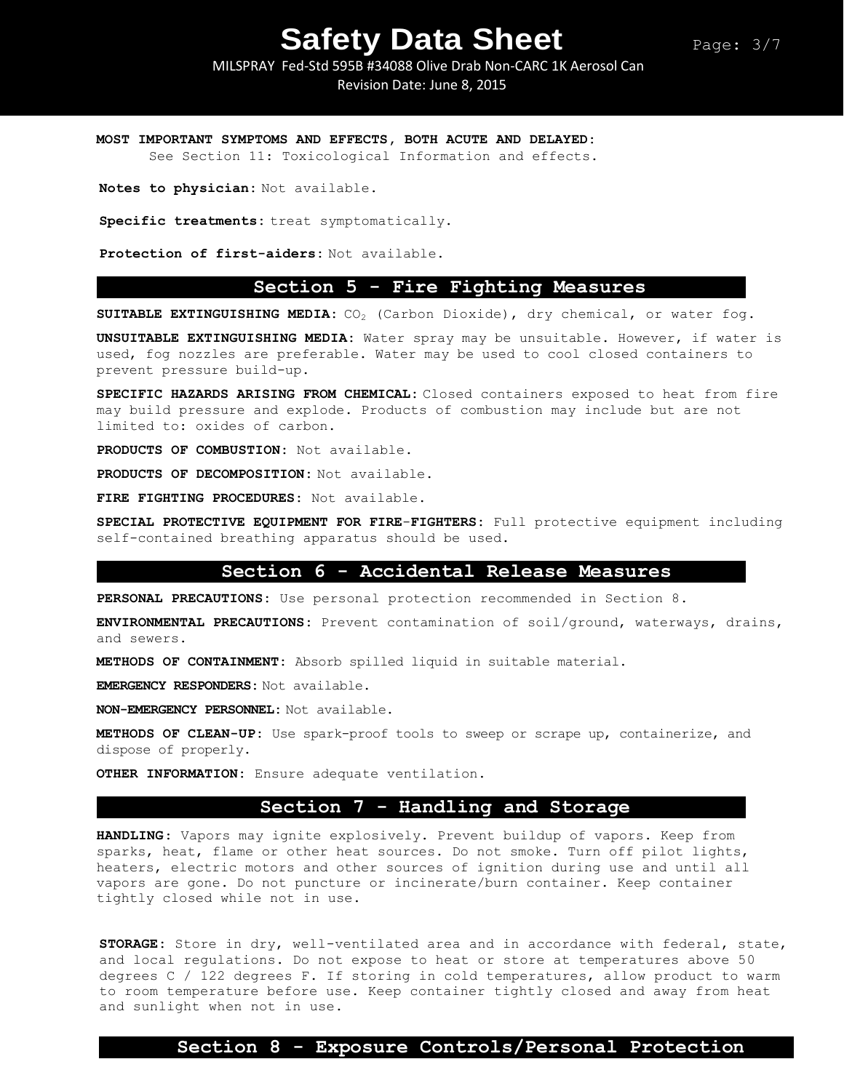MILSPRAY Fed-Std 595B #34088 Olive Drab Non-CARC 1K Aerosol Can Revision Date: June 8, 2015

**MOST IMPORTANT SYMPTOMS AND EFFECTS, BOTH ACUTE AND DELAYED:** 

See Section 11: Toxicological Information and effects.

**Notes to physician:** Not available.

**Specific treatments:** treat symptomatically.

**Protection of first-aiders:** Not available.

## **Section 5 - Fire Fighting Measures**

**SUITABLE EXTINGUISHING MEDIA:** CO<sup>2</sup> (Carbon Dioxide), dry chemical, or water fog.

**UNSUITABLE EXTINGUISHING MEDIA:** Water spray may be unsuitable. However, if water is used, fog nozzles are preferable. Water may be used to cool closed containers to prevent pressure build-up.

**SPECIFIC HAZARDS ARISING FROM CHEMICAL:** Closed containers exposed to heat from fire may build pressure and explode. Products of combustion may include but are not limited to: oxides of carbon.

**PRODUCTS OF COMBUSTION:** Not available.

**PRODUCTS OF DECOMPOSITION:** Not available.

**FIRE FIGHTING PROCEDURES:** Not available.

**SPECIAL PROTECTIVE EQUIPMENT FOR FIRE**-**FIGHTERS:** Full protective equipment including self-contained breathing apparatus should be used.

## **Section 6 - Accidental Release Measures**

**PERSONAL PRECAUTIONS:** Use personal protection recommended in Section 8.

**ENVIRONMENTAL PRECAUTIONS:** Prevent contamination of soil/ground, waterways, drains, and sewers.

**METHODS OF CONTAINMENT:** Absorb spilled liquid in suitable material.

**EMERGENCY RESPONDERS:** Not available.

**NON-EMERGENCY PERSONNEL:** Not available.

**METHODS OF CLEAN-UP:** Use spark-proof tools to sweep or scrape up, containerize, and dispose of properly.

**OTHER INFORMATION:** Ensure adequate ventilation.

## **Section 7 - Handling and Storage**

**HANDLING**: Vapors may ignite explosively. Prevent buildup of vapors. Keep from sparks, heat, flame or other heat sources. Do not smoke. Turn off pilot lights, heaters, electric motors and other sources of ignition during use and until all vapors are gone. Do not puncture or incinerate/burn container. Keep container tightly closed while not in use.

**STORAGE:** Store in dry, well-ventilated area and in accordance with federal, state, and local regulations. Do not expose to heat or store at temperatures above 50 degrees C / 122 degrees F. If storing in cold temperatures, allow product to warm to room temperature before use. Keep container tightly closed and away from heat and sunlight when not in use.

## **Section 8 - Exposure Controls/Personal Protection**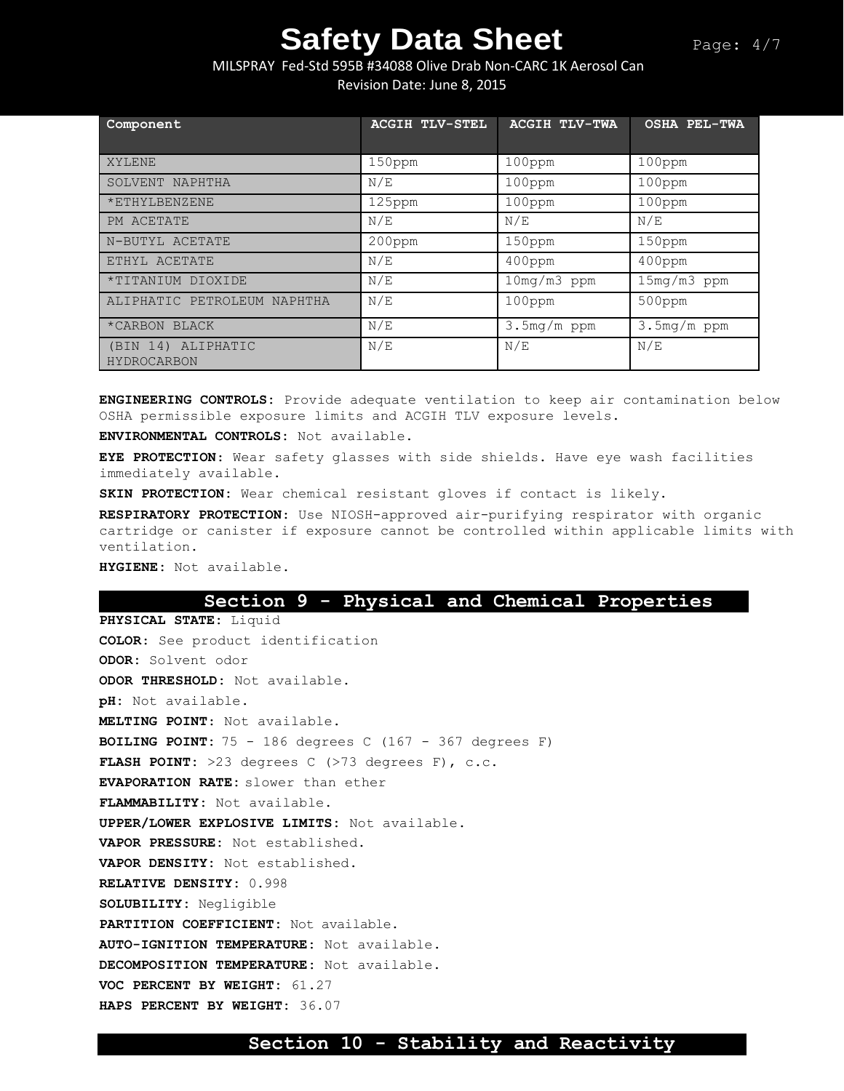# MILSPRAY Fed-Std 595B #34088 Olive Drab Non-CARC 1K Aerosol Can Revision Date: June 8, 2015

| Component                         | <b>ACGIH TLV-STEL</b> | <b>ACGIH TLV-TWA</b> | <b>OSHA PEL-TWA</b> |
|-----------------------------------|-----------------------|----------------------|---------------------|
| XYLENE                            | 150ppm                | $100$ ppm            | $100$ ppm           |
| SOLVENT NAPHTHA                   | N/E                   | $100$ ppm            | $100$ ppm           |
| *ETHYLBENZENE                     | 125ppm                | 100ppm               | 100ppm              |
| PM ACETATE                        | N/E                   | N/E                  | N/E                 |
| N-BUTYL ACETATE                   | 200ppm                | $150$ ppm            | 150ppm              |
| ETHYL ACETATE                     | N/E                   | $400$ ppm            | $400$ ppm           |
| *TITANIUM DIOXIDE                 | N/E                   | 10mg/m3 ppm          | 15mg/m3 ppm         |
| ALIPHATIC PETROLEUM NAPHTHA       | N/E                   | 100ppm               | 500ppm              |
| *CARBON BLACK                     | N/E                   | 3.5mg/m ppm          | $3.5mg/m$ ppm       |
| (BIN 14) ALIPHATIC<br>HYDROCARBON | N/E                   | N/E                  | N/E                 |

**ENGINEERING CONTROLS:** Provide adequate ventilation to keep air contamination below OSHA permissible exposure limits and ACGIH TLV exposure levels.

**ENVIRONMENTAL CONTROLS:** Not available.

**EYE PROTECTION**: Wear safety glasses with side shields. Have eye wash facilities immediately available.

**SKIN PROTECTION:** Wear chemical resistant gloves if contact is likely.

**RESPIRATORY PROTECTION**: Use NIOSH-approved air-purifying respirator with organic cartridge or canister if exposure cannot be controlled within applicable limits with ventilation.

**HYGIENE:** Not available.

## **Section 9 - Physical and Chemical Properties**

**PHYSICAL STATE:** Liquid **COLOR**: See product identification **ODOR:** Solvent odor **ODOR THRESHOLD:** Not available. **pH:** Not available. **MELTING POINT**: Not available. **BOILING POINT:** 75 - 186 degrees C (167 - 367 degrees F) **FLASH POINT:** >23 degrees C (>73 degrees F), c.c. **EVAPORATION RATE:** slower than ether **FLAMMABILITY:** Not available. **UPPER/LOWER EXPLOSIVE LIMITS:** Not available. **VAPOR PRESSURE:** Not established. **VAPOR DENSITY:** Not established. **RELATIVE DENSITY:** 0.998 **SOLUBILITY:** Negligible **PARTITION COEFFICIENT:** Not available. **AUTO-IGNITION TEMPERATURE:** Not available. **DECOMPOSITION TEMPERATURE:** Not available. **VOC PERCENT BY WEIGHT:** 61.27 **HAPS PERCENT BY WEIGHT:** 36.07

# **Section 10 - Stability and Reactivity**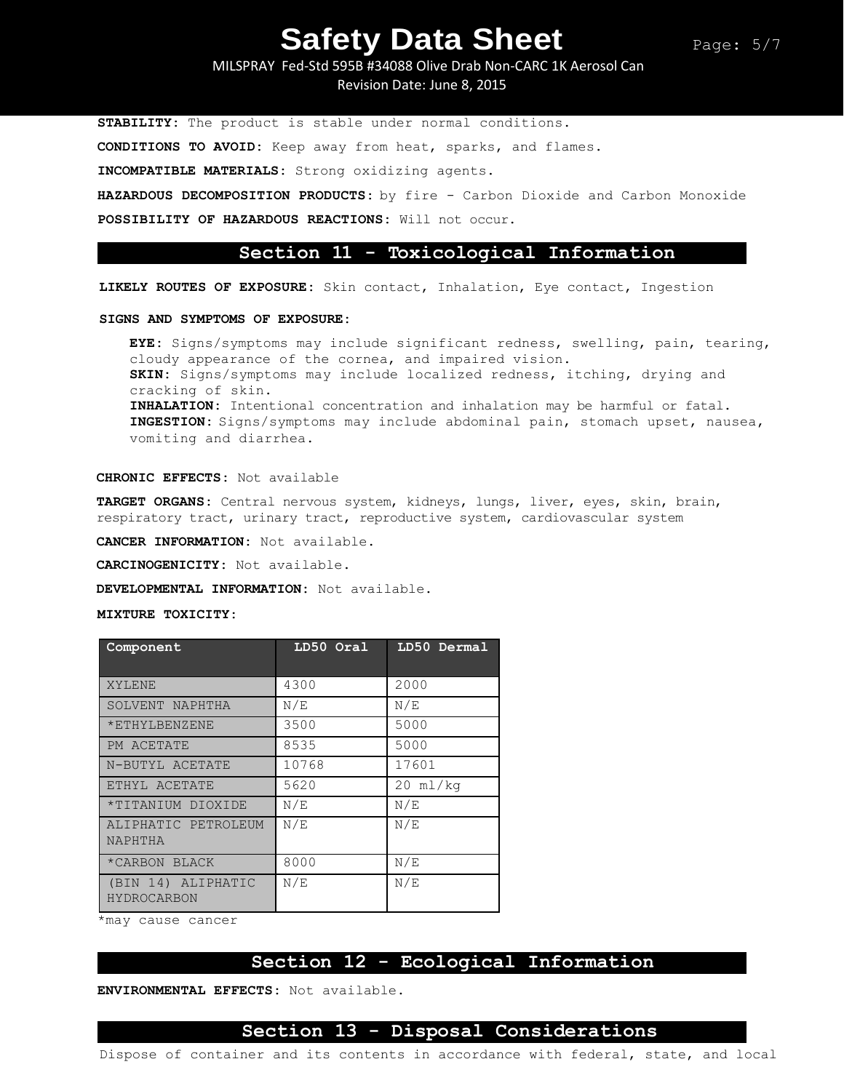MILSPRAY Fed-Std 595B #34088 Olive Drab Non-CARC 1K Aerosol Can Revision Date: June 8, 2015

**STABILITY:** The product is stable under normal conditions. **CONDITIONS TO AVOID:** Keep away from heat, sparks, and flames.

**INCOMPATIBLE MATERIALS:** Strong oxidizing agents.

**HAZARDOUS DECOMPOSITION PRODUCTS:** by fire - Carbon Dioxide and Carbon Monoxide

**POSSIBILITY OF HAZARDOUS REACTIONS:** Will not occur.

## **Section 11 - Toxicological Information**

**LIKELY ROUTES OF EXPOSURE:** Skin contact, Inhalation, Eye contact, Ingestion

### **SIGNS AND SYMPTOMS OF EXPOSURE:**

**EYE:** Signs/symptoms may include significant redness, swelling, pain, tearing, cloudy appearance of the cornea, and impaired vision. **SKIN:** Signs/symptoms may include localized redness, itching, drying and cracking of skin. **INHALATION:** Intentional concentration and inhalation may be harmful or fatal. **INGESTION:** Signs/symptoms may include abdominal pain, stomach upset, nausea, vomiting and diarrhea.

## **CHRONIC EFFECTS:** Not available

**TARGET ORGANS:** Central nervous system, kidneys, lungs, liver, eyes, skin, brain, respiratory tract, urinary tract, reproductive system, cardiovascular system

**CANCER INFORMATION:** Not available.

**CARCINOGENICITY:** Not available.

**DEVELOPMENTAL INFORMATION:** Not available.

## **MIXTURE TOXICITY:**

| Component                                | LD50 Oral | LD50 Dermal        |
|------------------------------------------|-----------|--------------------|
| XYLENE                                   | 4300      | 2000               |
| SOLVENT NAPHTHA                          | N/E       | N/E                |
| *ETHYLBENZENE                            | 3500      | 5000               |
| PM ACETATE                               | 8535      | 5000               |
| N-BUTYL ACETATE                          | 10768     | 17601              |
| ETHYL ACETATE                            | 5620      | $20 \text{ ml/kg}$ |
| *TITANIUM DIOXIDE                        | N/E       | N/E                |
| ALIPHATIC PETROLEUM<br>NAPHTHA           | N/E       | N/E                |
| *CARBON BLACK                            | 8000      | N/E                |
| (BIN 14) ALIPHATIC<br><b>HYDROCARBON</b> | N/E       | N/E                |

\*may cause cancer

# **Section 12 - Ecological Information**

**ENVIRONMENTAL EFFECTS:** Not available.

## **Section 13 - Disposal Considerations**

Dispose of container and its contents in accordance with federal, state, and local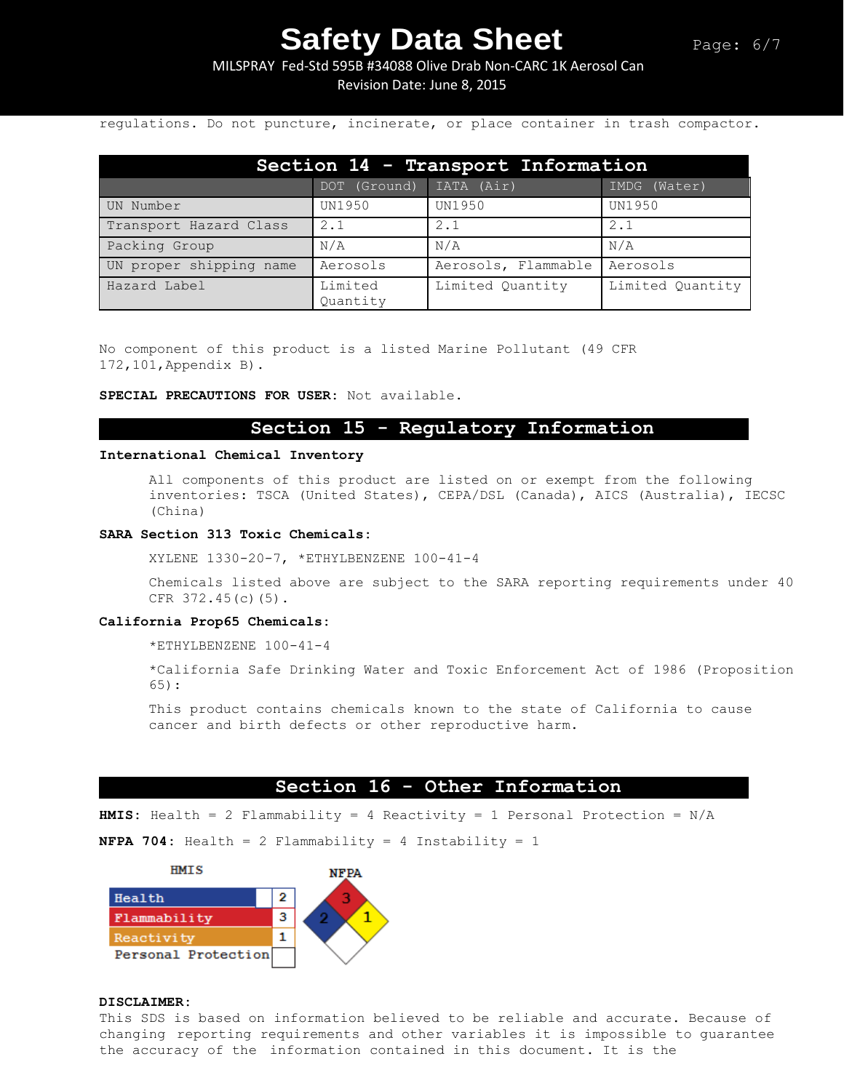MILSPRAY Fed-Std 595B #34088 Olive Drab Non-CARC 1K Aerosol Can Revision Date: June 8, 2015

regulations. Do not puncture, incinerate, or place container in trash compactor.

| Section 14 - Transport Information |                     |                     |                  |  |
|------------------------------------|---------------------|---------------------|------------------|--|
|                                    | DOT (Ground)        | IATA (Air)          | IMDG (Water)     |  |
| UN Number                          | UN1950              | <b>UN1950</b>       | UN1950           |  |
| Transport Hazard Class             | 2.1                 | 2.1                 | 2.1              |  |
| Packing Group                      | N/A                 | N/A                 | N/A              |  |
| UN proper shipping name            | Aerosols            | Aerosols, Flammable | Aerosols         |  |
| Hazard Label                       | Limited<br>Quantity | Limited Quantity    | Limited Quantity |  |

No component of this product is a listed Marine Pollutant (49 CFR 172,101,Appendix B).

**SPECIAL PRECAUTIONS FOR USER:** Not available.

# **Section 15 - Regulatory Information**

## **International Chemical Inventory**

All components of this product are listed on or exempt from the following inventories: TSCA (United States), CEPA/DSL (Canada), AICS (Australia), IECSC (China)

#### **SARA Section 313 Toxic Chemicals:**

XYLENE 1330-20-7, \*ETHYLBENZENE 100-41-4

Chemicals listed above are subject to the SARA reporting requirements under 40 CFR 372.45(c)(5).

### **California Prop65 Chemicals:**

\*ETHYLBENZENE 100-41-4

\*California Safe Drinking Water and Toxic Enforcement Act of 1986 (Proposition 65):

This product contains chemicals known to the state of California to cause cancer and birth defects or other reproductive harm.

## **Section 16 - Other Information**

**HMIS:** Health = 2 Flammability = 4 Reactivity = 1 Personal Protection = N/A

**NFPA 704:** Health = 2 Flammability = 4 Instability = 1



## **DISCLAIMER:**

This SDS is based on information believed to be reliable and accurate. Because of changing reporting requirements and other variables it is impossible to guarantee the accuracy of the information contained in this document. It is the